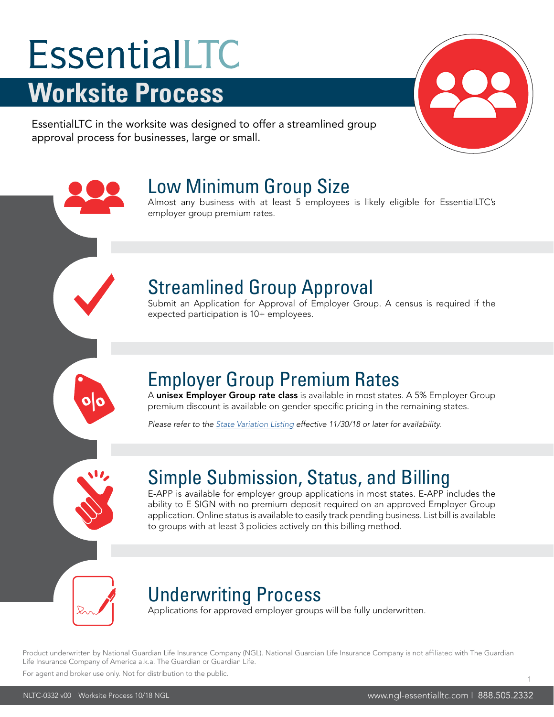# EssentialLTC **Worksite Process**

EssentialLTC in the worksite was designed to offer a streamlined group approval process for businesses, large or small.

employer group premium rates.

# Low Minimum Group Size

### Streamlined Group Approval

Submit an Application for Approval of Employer Group. A census is required if the expected participation is 10+ employees.

Almost any business with at least 5 employees is likely eligible for EssentialLTC's

#### Employer Group Premium Rates

A unisex Employer Group rate class is available in most states. A 5% Employer Group premium discount is available on gender-specific pricing in the remaining states.

*Please refer to the [State Variation Listing](https://www.ngl-essentialltc.com/bga/NLTC-PF.pdf) effective 11/30/18 or later for availability.*

#### Simple Submission, Status, and Billing

E-APP is available for employer group applications in most states. E-APP includes the ability to E-SIGN with no premium deposit required on an approved Employer Group application. Online status is available to easily track pending business. List bill is available to groups with at least 3 policies actively on this billing method.

**%**

#### Underwriting Process

Applications for approved employer groups will be fully underwritten.

Product underwritten by National Guardian Life Insurance Company (NGL). National Guardian Life Insurance Company is not affiliated with The Guardian Life Insurance Company of America a.k.a. The Guardian or Guardian Life.

For agent and broker use only. Not for distribution to the public.

1